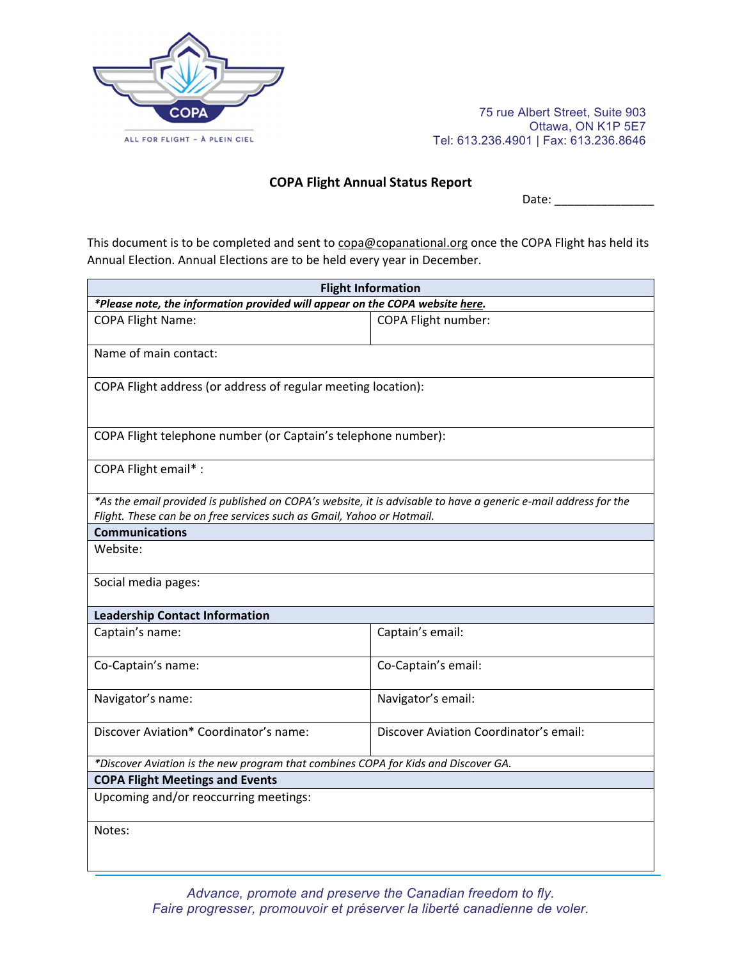

75 rue Albert Street, Suite 903 Ottawa, ON K1P 5E7 Tel: 613.236.4901 | Fax: 613.236.8646

## **COPA Flight Annual Status Report**

Date:  $\frac{1}{\sqrt{1-\frac{1}{2}}}$ 

This document is to be completed and sent to copa@copanational.org once the COPA Flight has held its Annual Election. Annual Elections are to be held every year in December.

| <b>Flight Information</b>                                                                                                                                                                 |                                        |  |  |  |
|-------------------------------------------------------------------------------------------------------------------------------------------------------------------------------------------|----------------------------------------|--|--|--|
| *Please note, the information provided will appear on the COPA website here.                                                                                                              |                                        |  |  |  |
| <b>COPA Flight Name:</b>                                                                                                                                                                  | COPA Flight number:                    |  |  |  |
| Name of main contact:                                                                                                                                                                     |                                        |  |  |  |
| COPA Flight address (or address of regular meeting location):                                                                                                                             |                                        |  |  |  |
| COPA Flight telephone number (or Captain's telephone number):                                                                                                                             |                                        |  |  |  |
| COPA Flight email*:                                                                                                                                                                       |                                        |  |  |  |
| *As the email provided is published on COPA's website, it is advisable to have a generic e-mail address for the<br>Flight. These can be on free services such as Gmail, Yahoo or Hotmail. |                                        |  |  |  |
| <b>Communications</b>                                                                                                                                                                     |                                        |  |  |  |
| Website:                                                                                                                                                                                  |                                        |  |  |  |
| Social media pages:                                                                                                                                                                       |                                        |  |  |  |
| <b>Leadership Contact Information</b>                                                                                                                                                     |                                        |  |  |  |
| Captain's name:                                                                                                                                                                           | Captain's email:                       |  |  |  |
| Co-Captain's name:                                                                                                                                                                        | Co-Captain's email:                    |  |  |  |
| Navigator's name:                                                                                                                                                                         | Navigator's email:                     |  |  |  |
| Discover Aviation* Coordinator's name:                                                                                                                                                    | Discover Aviation Coordinator's email: |  |  |  |
| *Discover Aviation is the new program that combines COPA for Kids and Discover GA.                                                                                                        |                                        |  |  |  |
| <b>COPA Flight Meetings and Events</b>                                                                                                                                                    |                                        |  |  |  |
| Upcoming and/or reoccurring meetings:                                                                                                                                                     |                                        |  |  |  |
| Notes:                                                                                                                                                                                    |                                        |  |  |  |

*Advance, promote and preserve the Canadian freedom to fly. Faire progresser, promouvoir et préserver la liberté canadienne de voler.*